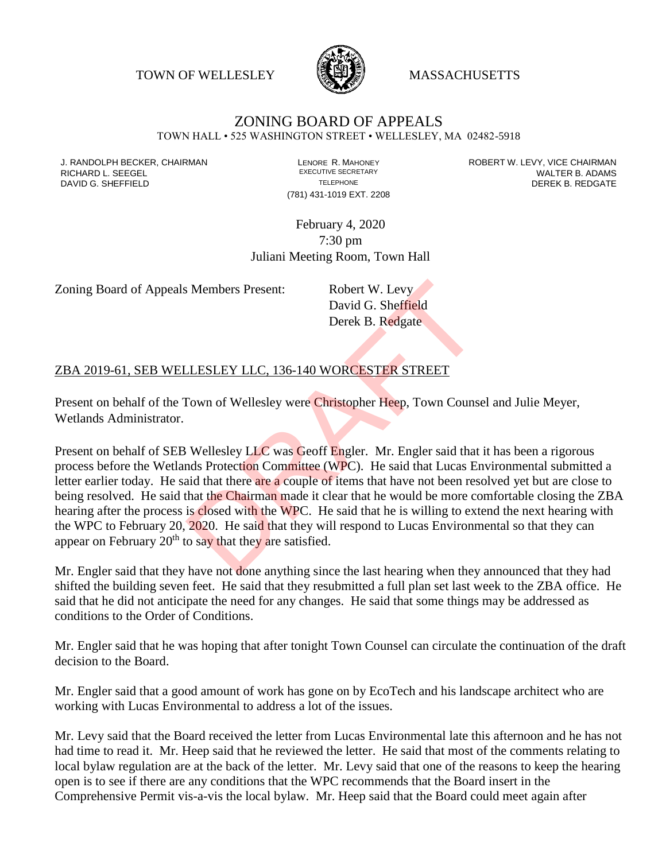TOWN OF WELLESLEY **WASSACHUSETTS** 



## ZONING BOARD OF APPEALS

TOWN HALL • 525 WASHINGTON STREET • WELLESLEY, MA 02482-5918

(781) 431-1019 EXT. 2208

J. RANDOLPH BECKER, CHAIRMAN LAND LENORE R. MAHONEY LEWING AN ANDERT W. LEVY, VICE CHAIRMAN LAND LENORE R. MAHONEY<br>RICHARD L. SFFGFI LADAMS RICHARD L. SEEGEL **EXECUTIVE SECRETARY CONTROLLY SECRETARY WALTER B. ADAMS** DAVID G. SHEFFIELD **TELEPHONE** TELEPHONE TELEPHONE **TELEPHONE DEREK B. REDGATE** 

> February 4, 2020 7:30 pm Juliani Meeting Room, Town Hall

Zoning Board of Appeals Members Present: Robert W. Levy

David G. Sheffield Derek B. Redgate

## ZBA 2019-61, SEB WELLESLEY LLC, 136-140 WORCESTER STREET

Present on behalf of the Town of Wellesley were Christopher Heep, Town Counsel and Julie Meyer, Wetlands Administrator.

Present on behalf of SEB Wellesley LLC was Geoff Engler. Mr. Engler said that it has been a rigorous process before the Wetlands Protection Committee (WPC). He said that Lucas Environmental submitted a letter earlier today. He said that there are a couple of items that have not been resolved yet but are close to being resolved. He said that the Chairman made it clear that he would be more comfortable closing the ZBA hearing after the process is closed with the WPC. He said that he is willing to extend the next hearing with the WPC to February 20, 2020. He said that they will respond to Lucas Environmental so that they can appear on February  $20<sup>th</sup>$  to say that they are satisfied. S Members Present:<br>
David G. Sheffield<br>
Derek B. Redgate<br>
Derek B. Redgate<br>
LESLEY LLC, 136-140 WORCESTER STREET<br>
Fown of Wellesley were Christopher Heep, Town Counse<br>
Wellesley LLC was Geoff Engler. Mr. Engler said that<br>

Mr. Engler said that they have not done anything since the last hearing when they announced that they had shifted the building seven feet. He said that they resubmitted a full plan set last week to the ZBA office. He said that he did not anticipate the need for any changes. He said that some things may be addressed as conditions to the Order of Conditions.

Mr. Engler said that he was hoping that after tonight Town Counsel can circulate the continuation of the draft decision to the Board.

Mr. Engler said that a good amount of work has gone on by EcoTech and his landscape architect who are working with Lucas Environmental to address a lot of the issues.

Mr. Levy said that the Board received the letter from Lucas Environmental late this afternoon and he has not had time to read it. Mr. Heep said that he reviewed the letter. He said that most of the comments relating to local bylaw regulation are at the back of the letter. Mr. Levy said that one of the reasons to keep the hearing open is to see if there are any conditions that the WPC recommends that the Board insert in the Comprehensive Permit vis-a-vis the local bylaw. Mr. Heep said that the Board could meet again after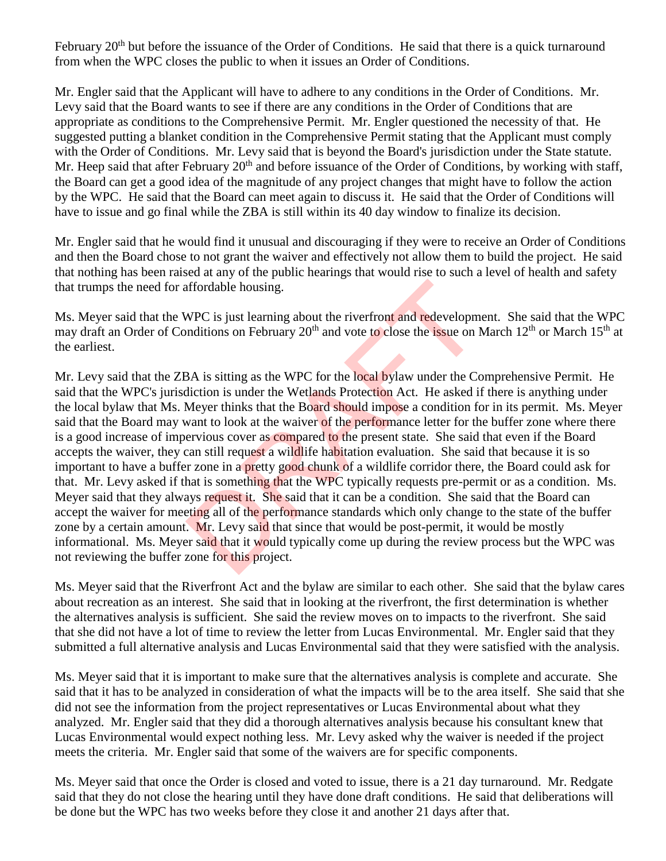February 20<sup>th</sup> but before the issuance of the Order of Conditions. He said that there is a quick turnaround from when the WPC closes the public to when it issues an Order of Conditions.

Mr. Engler said that the Applicant will have to adhere to any conditions in the Order of Conditions. Mr. Levy said that the Board wants to see if there are any conditions in the Order of Conditions that are appropriate as conditions to the Comprehensive Permit. Mr. Engler questioned the necessity of that. He suggested putting a blanket condition in the Comprehensive Permit stating that the Applicant must comply with the Order of Conditions. Mr. Levy said that is beyond the Board's jurisdiction under the State statute. Mr. Heep said that after February 20<sup>th</sup> and before issuance of the Order of Conditions, by working with staff, the Board can get a good idea of the magnitude of any project changes that might have to follow the action by the WPC. He said that the Board can meet again to discuss it. He said that the Order of Conditions will have to issue and go final while the ZBA is still within its 40 day window to finalize its decision.

Mr. Engler said that he would find it unusual and discouraging if they were to receive an Order of Conditions and then the Board chose to not grant the waiver and effectively not allow them to build the project. He said that nothing has been raised at any of the public hearings that would rise to such a level of health and safety that trumps the need for affordable housing.

Ms. Meyer said that the WPC is just learning about the riverfront and redevelopment. She said that the WPC may draft an Order of Conditions on February 20<sup>th</sup> and vote to close the issue on March 12<sup>th</sup> or March 15<sup>th</sup> at the earliest.

Mr. Levy said that the ZBA is sitting as the WPC for the local bylaw under the Comprehensive Permit. He said that the WPC's jurisdiction is under the Wetlands Protection Act. He asked if there is anything under the local bylaw that Ms. Meyer thinks that the Board should impose a condition for in its permit. Ms. Meyer said that the Board may want to look at the waiver of the performance letter for the buffer zone where there is a good increase of impervious cover as compared to the present state. She said that even if the Board accepts the waiver, they can still request a wildlife habitation evaluation. She said that because it is so important to have a buffer zone in a pretty good chunk of a wildlife corridor there, the Board could ask for that. Mr. Levy asked if that is something that the WPC typically requests pre-permit or as a condition. Ms. Meyer said that they always request it. She said that it can be a condition. She said that the Board can accept the waiver for meeting all of the performance standards which only change to the state of the buffer zone by a certain amount. Mr. Levy said that since that would be post-permit, it would be mostly informational. Ms. Meyer said that it would typically come up during the review process but the WPC was not reviewing the buffer zone for this project. affordable housing.<br>WPC is just learning about the riverfront and redevelopm<br>mditions on February 20<sup>th</sup> and vote to close the issue on l<br>BA is sitting as the WPC for the local bylaw under the Co<br>diction is under the Wetla

Ms. Meyer said that the Riverfront Act and the bylaw are similar to each other. She said that the bylaw cares about recreation as an interest. She said that in looking at the riverfront, the first determination is whether the alternatives analysis is sufficient. She said the review moves on to impacts to the riverfront. She said that she did not have a lot of time to review the letter from Lucas Environmental. Mr. Engler said that they submitted a full alternative analysis and Lucas Environmental said that they were satisfied with the analysis.

Ms. Meyer said that it is important to make sure that the alternatives analysis is complete and accurate. She said that it has to be analyzed in consideration of what the impacts will be to the area itself. She said that she did not see the information from the project representatives or Lucas Environmental about what they analyzed. Mr. Engler said that they did a thorough alternatives analysis because his consultant knew that Lucas Environmental would expect nothing less. Mr. Levy asked why the waiver is needed if the project meets the criteria. Mr. Engler said that some of the waivers are for specific components.

Ms. Meyer said that once the Order is closed and voted to issue, there is a 21 day turnaround. Mr. Redgate said that they do not close the hearing until they have done draft conditions. He said that deliberations will be done but the WPC has two weeks before they close it and another 21 days after that.